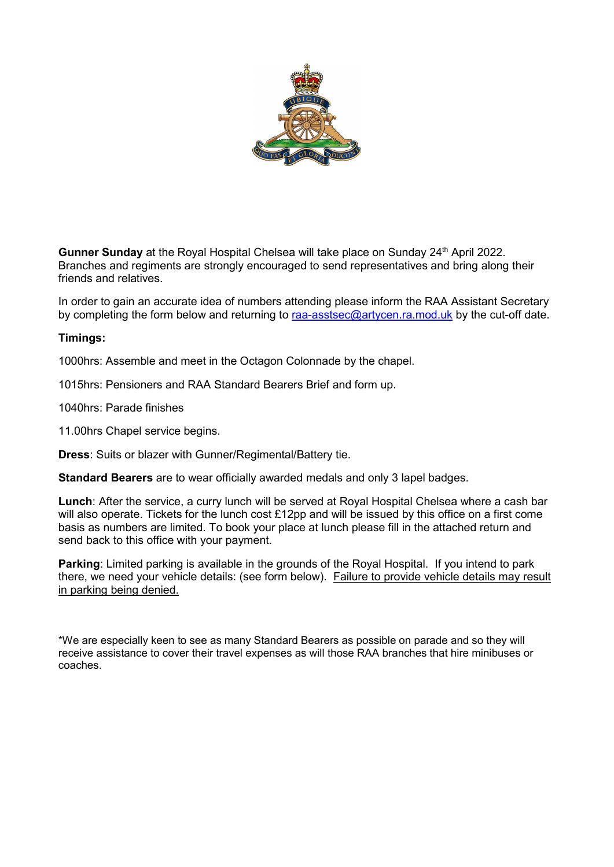

**Gunner Sunday** at the Royal Hospital Chelsea will take place on Sunday 24<sup>th</sup> April 2022. Branches and regiments are strongly encouraged to send representatives and bring along their friends and relatives.

In order to gain an accurate idea of numbers attending please inform the RAA Assistant Secretary by completing the form below and returning to [raa-asstsec@artycen.ra.mod.uk](mailto:raa-asstsec@artycen.ra.mod.uk) by the cut-off date.

## **Timings:**

1000hrs: Assemble and meet in the Octagon Colonnade by the chapel.

1015hrs: Pensioners and RAA Standard Bearers Brief and form up.

1040hrs: Parade finishes

11.00hrs Chapel service begins.

**Dress**: Suits or blazer with Gunner/Regimental/Battery tie.

**Standard Bearers** are to wear officially awarded medals and only 3 lapel badges.

**Lunch**: After the service, a curry lunch will be served at Royal Hospital Chelsea where a cash bar will also operate. Tickets for the lunch cost £12pp and will be issued by this office on a first come basis as numbers are limited. To book your place at lunch please fill in the attached return and send back to this office with your payment.

**Parking**: Limited parking is available in the grounds of the Royal Hospital. If you intend to park there, we need your vehicle details: (see form below). Failure to provide vehicle details may result in parking being denied.

\*We are especially keen to see as many Standard Bearers as possible on parade and so they will receive assistance to cover their travel expenses as will those RAA branches that hire minibuses or coaches.